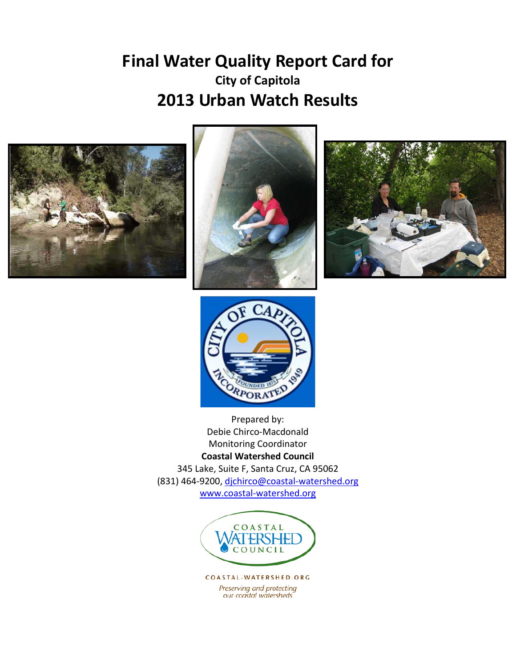# **Final Water Quality Report Card for City of Capitola 2013 Urban Watch Results**









Prepared by: Debie Chirco-Macdonald Monitoring Coordinator **Coastal Watershed Council** 345 Lake, Suite F, Santa Cruz, CA 95062 (831) 464-9200, [djchirco@coastal-watershed.org](mailto:djchirco@coastal-watershed.org) [www.coastal-watershed.org](http://www.coastal-watershed.org/)



COASTAL-WATERSHED.ORG Preserving and protecting our coastal watersheds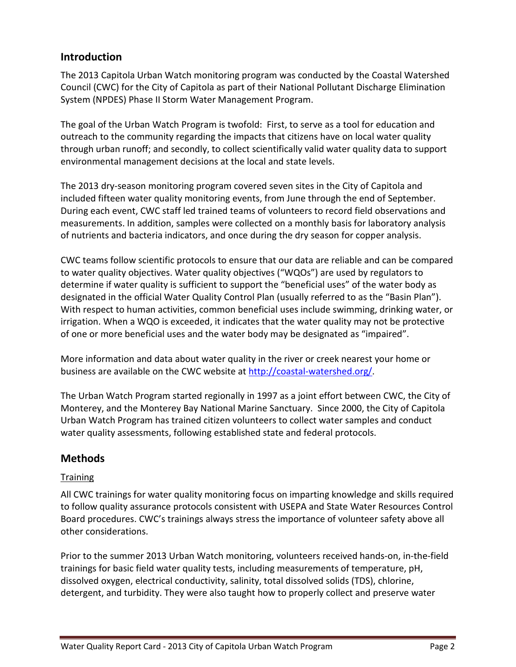## **Introduction**

The 2013 Capitola Urban Watch monitoring program was conducted by the Coastal Watershed Council (CWC) for the City of Capitola as part of their National Pollutant Discharge Elimination System (NPDES) Phase II Storm Water Management Program.

The goal of the Urban Watch Program is twofold: First, to serve as a tool for education and outreach to the community regarding the impacts that citizens have on local water quality through urban runoff; and secondly, to collect scientifically valid water quality data to support environmental management decisions at the local and state levels.

The 2013 dry-season monitoring program covered seven sites in the City of Capitola and included fifteen water quality monitoring events, from June through the end of September. During each event, CWC staff led trained teams of volunteers to record field observations and measurements. In addition, samples were collected on a monthly basis for laboratory analysis of nutrients and bacteria indicators, and once during the dry season for copper analysis.

CWC teams follow scientific protocols to ensure that our data are reliable and can be compared to water quality objectives. Water quality objectives ("WQOs") are used by regulators to determine if water quality is sufficient to support the "beneficial uses" of the water body as designated in the official Water Quality Control Plan (usually referred to as the "Basin Plan"). With respect to human activities, common beneficial uses include swimming, drinking water, or irrigation. When a WQO is exceeded, it indicates that the water quality may not be protective of one or more beneficial uses and the water body may be designated as "impaired".

More information and data about water quality in the river or creek nearest your home or business are available on the CWC website at [http://coastal-watershed.org/.](http://coastal-watershed.org/)

The Urban Watch Program started regionally in 1997 as a joint effort between CWC, the City of Monterey, and the Monterey Bay National Marine Sanctuary. Since 2000, the City of Capitola Urban Watch Program has trained citizen volunteers to collect water samples and conduct water quality assessments, following established state and federal protocols.

## **Methods**

### **Training**

All CWC trainings for water quality monitoring focus on imparting knowledge and skills required to follow quality assurance protocols consistent with USEPA and State Water Resources Control Board procedures. CWC's trainings always stress the importance of volunteer safety above all other considerations.

Prior to the summer 2013 Urban Watch monitoring, volunteers received hands-on, in-the-field trainings for basic field water quality tests, including measurements of temperature, pH, dissolved oxygen, electrical conductivity, salinity, total dissolved solids (TDS), chlorine, detergent, and turbidity. They were also taught how to properly collect and preserve water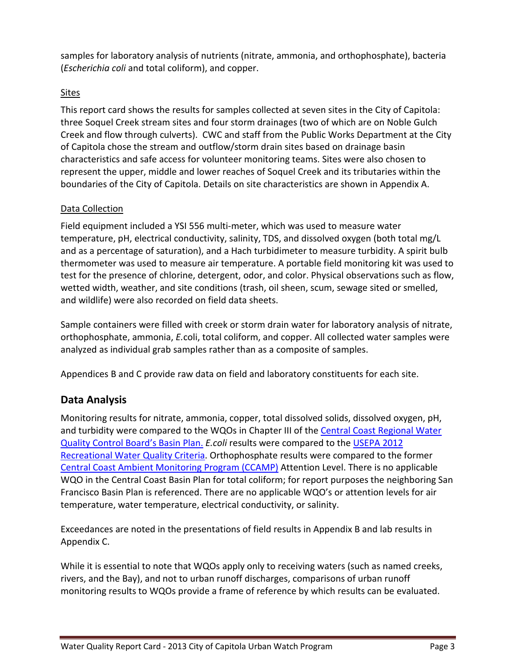samples for laboratory analysis of nutrients (nitrate, ammonia, and orthophosphate), bacteria (*Escherichia coli* and total coliform), and copper.

### Sites

This report card shows the results for samples collected at seven sites in the City of Capitola: three Soquel Creek stream sites and four storm drainages (two of which are on Noble Gulch Creek and flow through culverts). CWC and staff from the Public Works Department at the City of Capitola chose the stream and outflow/storm drain sites based on drainage basin characteristics and safe access for volunteer monitoring teams. Sites were also chosen to represent the upper, middle and lower reaches of Soquel Creek and its tributaries within the boundaries of the City of Capitola. Details on site characteristics are shown in Appendix A.

### Data Collection

Field equipment included a YSI 556 multi-meter, which was used to measure water temperature, pH, electrical conductivity, salinity, TDS, and dissolved oxygen (both total mg/L and as a percentage of saturation), and a Hach turbidimeter to measure turbidity. A spirit bulb thermometer was used to measure air temperature. A portable field monitoring kit was used to test for the presence of chlorine, detergent, odor, and color. Physical observations such as flow, wetted width, weather, and site conditions (trash, oil sheen, scum, sewage sited or smelled, and wildlife) were also recorded on field data sheets.

Sample containers were filled with creek or storm drain water for laboratory analysis of nitrate, orthophosphate, ammonia, *E.*coli, total coliform, and copper. All collected water samples were analyzed as individual grab samples rather than as a composite of samples.

Appendices B and C provide raw data on field and laboratory constituents for each site.

## **Data Analysis**

Monitoring results for nitrate, ammonia, copper, total dissolved solids, dissolved oxygen, pH, and turbidity were compared to the WQOs in Chapter III of the [Central Coast Regional Water](http://www.waterboards.ca.gov/centralcoast/publications_forms/publications/basin_plan/docs/basin_plan_2011.pdf)  [Quality Control Board's Basin Plan.](http://www.waterboards.ca.gov/centralcoast/publications_forms/publications/basin_plan/docs/basin_plan_2011.pdf) *E.coli* results were compared to the [USEPA 2012](http://water.epa.gov/scitech/swguidance/standards/criteria/health/recreation/upload/factsheet2012.pdf)  [Recreational Water Quality Criteria.](http://water.epa.gov/scitech/swguidance/standards/criteria/health/recreation/upload/factsheet2012.pdf) Orthophosphate results were compared to the former [Central Coast Ambient Monitoring Program](http://ccamp.org/) (CCAMP) Attention Level. There is no applicable WQO in the Central Coast Basin Plan for total coliform; for report purposes the neighboring San Francisco Basin Plan is referenced. There are no applicable WQO's or attention levels for air temperature, water temperature, electrical conductivity, or salinity.

Exceedances are noted in the presentations of field results in Appendix B and lab results in Appendix C.

While it is essential to note that WQOs apply only to receiving waters (such as named creeks, rivers, and the Bay), and not to urban runoff discharges, comparisons of urban runoff monitoring results to WQOs provide a frame of reference by which results can be evaluated.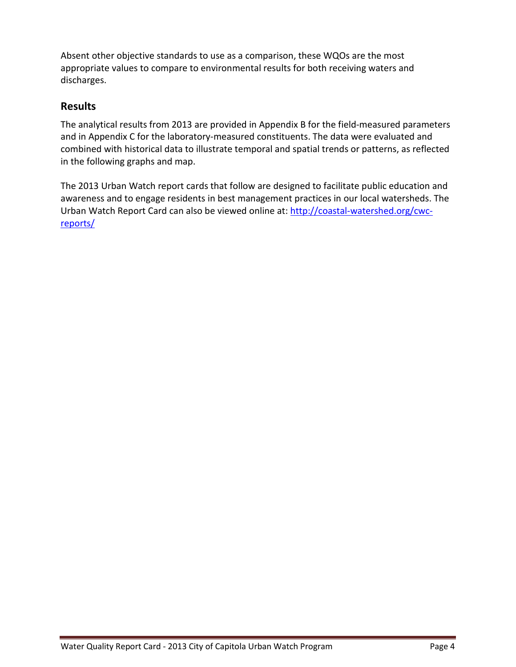Absent other objective standards to use as a comparison, these WQOs are the most appropriate values to compare to environmental results for both receiving waters and discharges.

## **Results**

The analytical results from 2013 are provided in Appendix B for the field-measured parameters and in Appendix C for the laboratory-measured constituents. The data were evaluated and combined with historical data to illustrate temporal and spatial trends or patterns, as reflected in the following graphs and map.

The 2013 Urban Watch report cards that follow are designed to facilitate public education and awareness and to engage residents in best management practices in our local watersheds. The Urban Watch Report Card can also be viewed online at: [http://coastal-watershed.org/cwc](http://coastal-watershed.org/cwc-reports/)[reports/](http://coastal-watershed.org/cwc-reports/)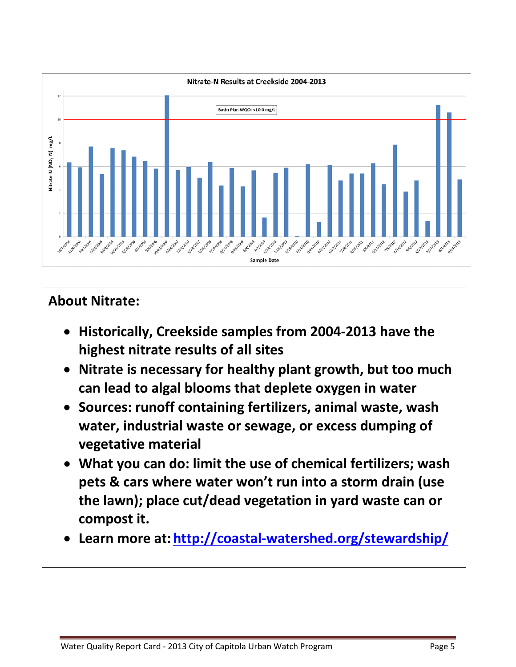

# **About Nitrate:**

- **Historically, Creekside samples from 2004-2013 have the highest nitrate results of all sites**
- **Nitrate is necessary for healthy plant growth, but too much can lead to algal blooms that deplete oxygen in water**
- **Sources: runoff containing fertilizers, animal waste, wash water, industrial waste or sewage, or excess dumping of vegetative material**
- **What you can do: limit the use of chemical fertilizers; wash pets & cars where water won't run into a storm drain (use the lawn); place cut/dead vegetation in yard waste can or compost it.**
- **Learn more at: <http://coastal-watershed.org/stewardship/>**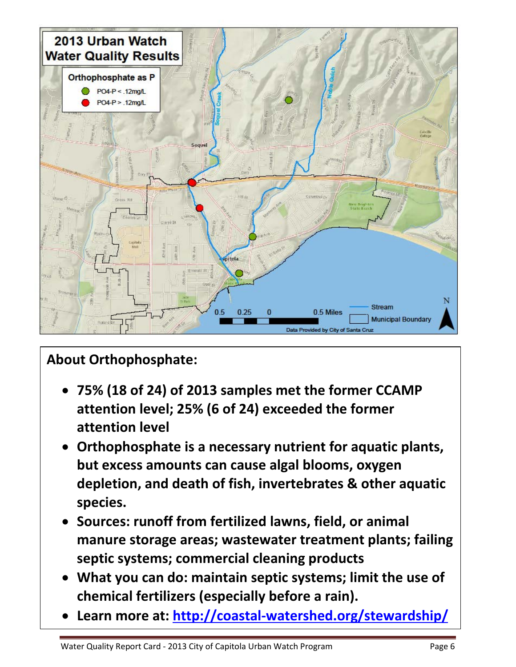

# **About Orthophosphate:**

- **75% (18 of 24) of 2013 samples met the former CCAMP attention level; 25% (6 of 24) exceeded the former attention level**
- **Orthophosphate is a necessary nutrient for aquatic plants, but excess amounts can cause algal blooms, oxygen depletion, and death of fish, invertebrates & other aquatic species.**
- **Sources: runoff from fertilized lawns, field, or animal manure storage areas; wastewater treatment plants; failing septic systems; commercial cleaning products**
- **What you can do: maintain septic systems; limit the use of chemical fertilizers (especially before a rain).**
- **Learn more at:<http://coastal-watershed.org/stewardship/>**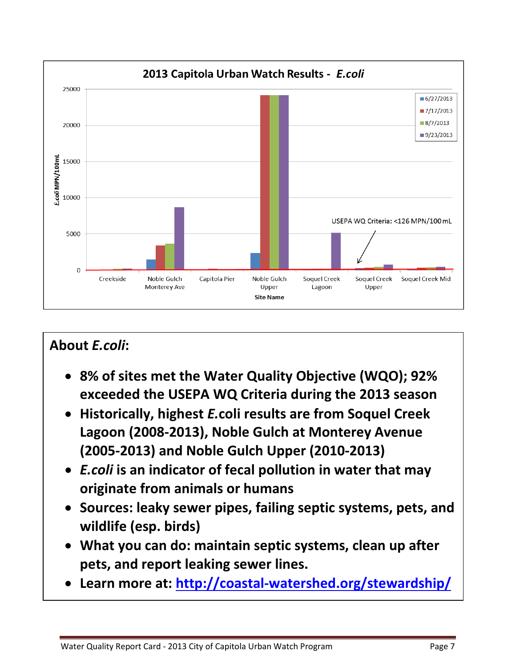

# **About** *E.coli***:**

- **8% of sites met the Water Quality Objective (WQO); 92% exceeded the USEPA WQ Criteria during the 2013 season**
- **Historically, highest** *E.***coli results are from Soquel Creek Lagoon (2008-2013), Noble Gulch at Monterey Avenue (2005-2013) and Noble Gulch Upper (2010-2013)**
- *E.coli* **is an indicator of fecal pollution in water that may originate from animals or humans**
- **Sources: leaky sewer pipes, failing septic systems, pets, and wildlife (esp. birds)**
- **What you can do: maintain septic systems, clean up after pets, and report leaking sewer lines.**
- **Learn more at:<http://coastal-watershed.org/stewardship/>**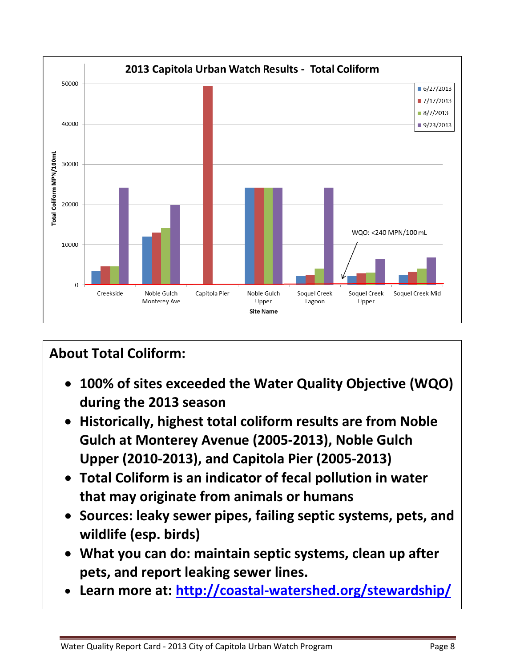

# **About Total Coliform:**

- **100% of sites exceeded the Water Quality Objective (WQO) during the 2013 season**
- **Historically, highest total coliform results are from Noble Gulch at Monterey Avenue (2005-2013), Noble Gulch Upper (2010-2013), and Capitola Pier (2005-2013)**
- **Total Coliform is an indicator of fecal pollution in water that may originate from animals or humans**
- **Sources: leaky sewer pipes, failing septic systems, pets, and wildlife (esp. birds)**
- **What you can do: maintain septic systems, clean up after pets, and report leaking sewer lines.**
- **Learn more at: <http://coastal-watershed.org/stewardship/>**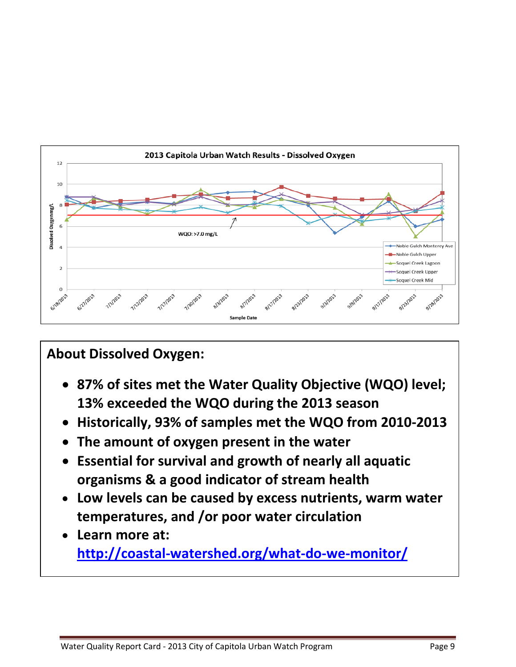

# **About Dissolved Oxygen:**

- **87% of sites met the Water Quality Objective (WQO) level; 13% exceeded the WQO during the 2013 season**
- **Historically, 93% of samples met the WQO from 2010-2013**
- **The amount of oxygen present in the water**
- **Essential for survival and growth of nearly all aquatic organisms & a good indicator of stream health**
- **Low levels can be caused by excess nutrients, warm water temperatures, and /or poor water circulation**
- **Learn more at: <http://coastal-watershed.org/what-do-we-monitor/>**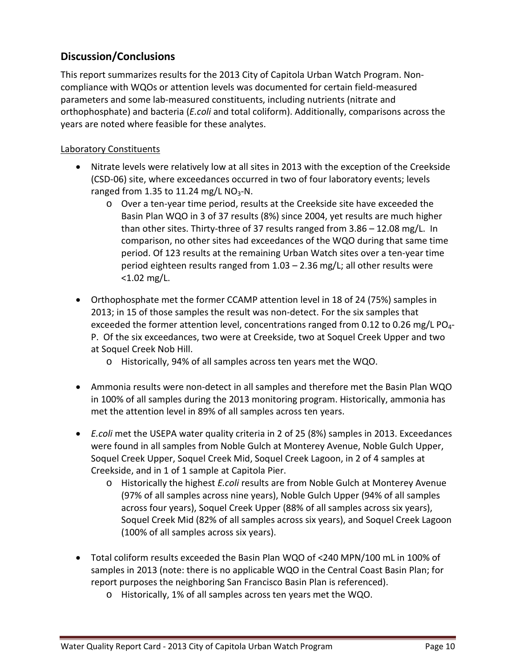## **Discussion/Conclusions**

This report summarizes results for the 2013 City of Capitola Urban Watch Program. Noncompliance with WQOs or attention levels was documented for certain field-measured parameters and some lab-measured constituents, including nutrients (nitrate and orthophosphate) and bacteria (*E.coli* and total coliform). Additionally, comparisons across the years are noted where feasible for these analytes.

### Laboratory Constituents

- Nitrate levels were relatively low at all sites in 2013 with the exception of the Creekside (CSD-06) site, where exceedances occurred in two of four laboratory events; levels ranged from 1.35 to 11.24 mg/L  $NO<sub>3</sub>$ -N.
	- o Over a ten-year time period, results at the Creekside site have exceeded the Basin Plan WQO in 3 of 37 results (8%) since 2004, yet results are much higher than other sites. Thirty-three of 37 results ranged from 3.86 – 12.08 mg/L. In comparison, no other sites had exceedances of the WQO during that same time period. Of 123 results at the remaining Urban Watch sites over a ten-year time period eighteen results ranged from 1.03 – 2.36 mg/L; all other results were <1.02 mg/L.
- Orthophosphate met the former CCAMP attention level in 18 of 24 (75%) samples in 2013; in 15 of those samples the result was non-detect. For the six samples that exceeded the former attention level, concentrations ranged from 0.12 to 0.26 mg/L PO<sub>4</sub>-P. Of the six exceedances, two were at Creekside, two at Soquel Creek Upper and two at Soquel Creek Nob Hill.
	- o Historically, 94% of all samples across ten years met the WQO.
- Ammonia results were non-detect in all samples and therefore met the Basin Plan WQO in 100% of all samples during the 2013 monitoring program. Historically, ammonia has met the attention level in 89% of all samples across ten years.
- *E.coli* met the USEPA water quality criteria in 2 of 25 (8%) samples in 2013. Exceedances were found in all samples from Noble Gulch at Monterey Avenue, Noble Gulch Upper, Soquel Creek Upper, Soquel Creek Mid, Soquel Creek Lagoon, in 2 of 4 samples at Creekside, and in 1 of 1 sample at Capitola Pier.
	- o Historically the highest *E.coli* results are from Noble Gulch at Monterey Avenue (97% of all samples across nine years), Noble Gulch Upper (94% of all samples across four years), Soquel Creek Upper (88% of all samples across six years), Soquel Creek Mid (82% of all samples across six years), and Soquel Creek Lagoon (100% of all samples across six years).
- Total coliform results exceeded the Basin Plan WQO of <240 MPN/100 mL in 100% of samples in 2013 (note: there is no applicable WQO in the Central Coast Basin Plan; for report purposes the neighboring San Francisco Basin Plan is referenced).
	- o Historically, 1% of all samples across ten years met the WQO.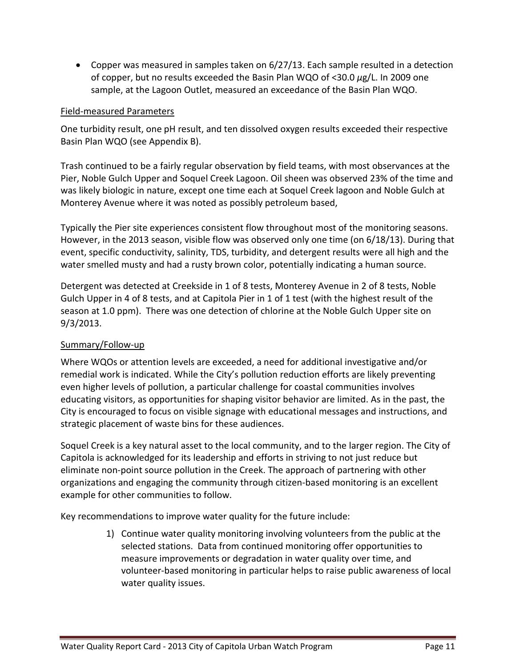• Copper was measured in samples taken on 6/27/13. Each sample resulted in a detection of copper, but no results exceeded the Basin Plan WQO of <30.0 *μ*g/L. In 2009 one sample, at the Lagoon Outlet, measured an exceedance of the Basin Plan WQO.

#### Field-measured Parameters

One turbidity result, one pH result, and ten dissolved oxygen results exceeded their respective Basin Plan WQO (see Appendix B).

Trash continued to be a fairly regular observation by field teams, with most observances at the Pier, Noble Gulch Upper and Soquel Creek Lagoon. Oil sheen was observed 23% of the time and was likely biologic in nature, except one time each at Soquel Creek lagoon and Noble Gulch at Monterey Avenue where it was noted as possibly petroleum based,

Typically the Pier site experiences consistent flow throughout most of the monitoring seasons. However, in the 2013 season, visible flow was observed only one time (on 6/18/13). During that event, specific conductivity, salinity, TDS, turbidity, and detergent results were all high and the water smelled musty and had a rusty brown color, potentially indicating a human source.

Detergent was detected at Creekside in 1 of 8 tests, Monterey Avenue in 2 of 8 tests, Noble Gulch Upper in 4 of 8 tests, and at Capitola Pier in 1 of 1 test (with the highest result of the season at 1.0 ppm). There was one detection of chlorine at the Noble Gulch Upper site on 9/3/2013.

### Summary/Follow-up

Where WQOs or attention levels are exceeded, a need for additional investigative and/or remedial work is indicated. While the City's pollution reduction efforts are likely preventing even higher levels of pollution, a particular challenge for coastal communities involves educating visitors, as opportunities for shaping visitor behavior are limited. As in the past, the City is encouraged to focus on visible signage with educational messages and instructions, and strategic placement of waste bins for these audiences.

Soquel Creek is a key natural asset to the local community, and to the larger region. The City of Capitola is acknowledged for its leadership and efforts in striving to not just reduce but eliminate non-point source pollution in the Creek. The approach of partnering with other organizations and engaging the community through citizen-based monitoring is an excellent example for other communities to follow.

Key recommendations to improve water quality for the future include:

1) Continue water quality monitoring involving volunteers from the public at the selected stations. Data from continued monitoring offer opportunities to measure improvements or degradation in water quality over time, and volunteer-based monitoring in particular helps to raise public awareness of local water quality issues.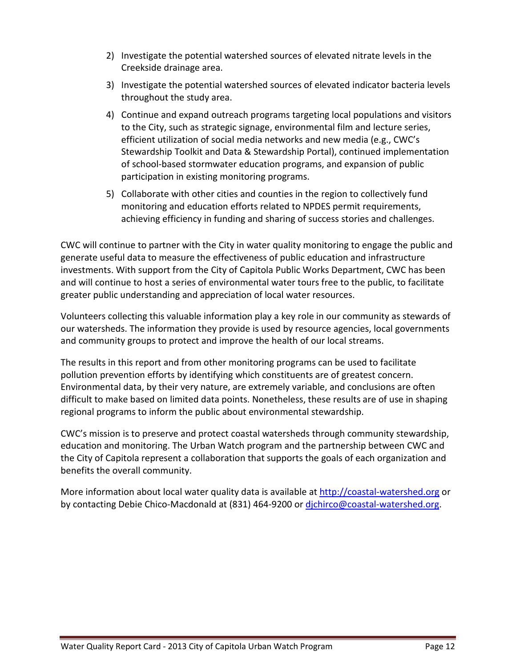- 2) Investigate the potential watershed sources of elevated nitrate levels in the Creekside drainage area.
- 3) Investigate the potential watershed sources of elevated indicator bacteria levels throughout the study area.
- 4) Continue and expand outreach programs targeting local populations and visitors to the City, such as strategic signage, environmental film and lecture series, efficient utilization of social media networks and new media (e.g., CWC's Stewardship Toolkit and Data & Stewardship Portal), continued implementation of school-based stormwater education programs, and expansion of public participation in existing monitoring programs.
- 5) Collaborate with other cities and counties in the region to collectively fund monitoring and education efforts related to NPDES permit requirements, achieving efficiency in funding and sharing of success stories and challenges.

CWC will continue to partner with the City in water quality monitoring to engage the public and generate useful data to measure the effectiveness of public education and infrastructure investments. With support from the City of Capitola Public Works Department, CWC has been and will continue to host a series of environmental water tours free to the public, to facilitate greater public understanding and appreciation of local water resources.

Volunteers collecting this valuable information play a key role in our community as stewards of our watersheds. The information they provide is used by resource agencies, local governments and community groups to protect and improve the health of our local streams.

The results in this report and from other monitoring programs can be used to facilitate pollution prevention efforts by identifying which constituents are of greatest concern. Environmental data, by their very nature, are extremely variable, and conclusions are often difficult to make based on limited data points. Nonetheless, these results are of use in shaping regional programs to inform the public about environmental stewardship.

CWC's mission is to preserve and protect coastal watersheds through community stewardship, education and monitoring. The Urban Watch program and the partnership between CWC and the City of Capitola represent a collaboration that supports the goals of each organization and benefits the overall community.

More information about local water quality data is available at [http://coastal-watershed.org](http://coastal-watershed.org/) or by contacting Debie Chico-Macdonald at (831) 464-9200 or dichirco@coastal-watershed.org.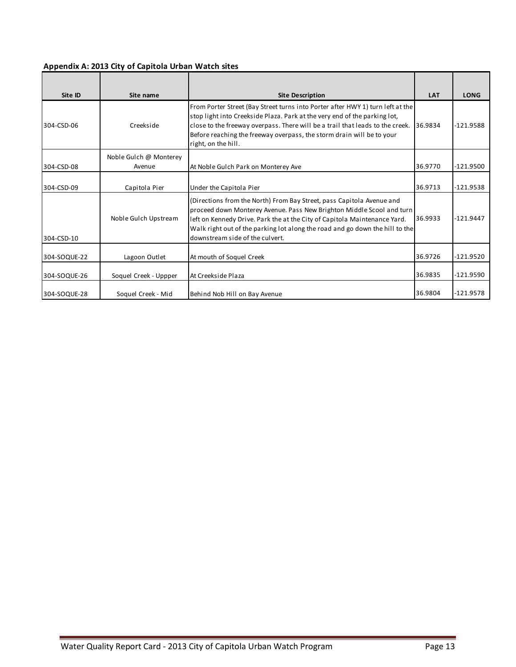### **Appendix A: 2013 City of Capitola Urban Watch sites**

| Site ID      | Site name                        | <b>Site Description</b>                                                                                                                                                                                                                                                                                                                        | <b>LAT</b> | <b>LONG</b> |
|--------------|----------------------------------|------------------------------------------------------------------------------------------------------------------------------------------------------------------------------------------------------------------------------------------------------------------------------------------------------------------------------------------------|------------|-------------|
| 304-CSD-06   | Creekside                        | From Porter Street (Bay Street turns into Porter after HWY 1) turn left at the<br>stop light into Creekside Plaza. Park at the very end of the parking lot,<br>close to the freeway overpass. There will be a trail that leads to the creek.<br>Before reaching the freeway overpass, the storm drain will be to your<br>right, on the hill.   | 36.9834    | -121.9588   |
| 304-CSD-08   | Noble Gulch @ Monterey<br>Avenue | At Noble Gulch Park on Monterey Ave                                                                                                                                                                                                                                                                                                            | 36.9770    | $-121.9500$ |
| 304-CSD-09   | Capitola Pier                    | Under the Capitola Pier                                                                                                                                                                                                                                                                                                                        | 36.9713    | $-121.9538$ |
| 304-CSD-10   | Noble Gulch Upstream             | (Directions from the North) From Bay Street, pass Capitola Avenue and<br>proceed down Monterey Avenue. Pass New Brighton Middle Scool and turn<br>left on Kennedy Drive. Park the at the City of Capitola Maintenance Yard.<br>Walk right out of the parking lot along the road and go down the hill to the<br>downstream side of the culvert. | 36.9933    | $-121.9447$ |
| 304-SOQUE-22 | Lagoon Outlet                    | At mouth of Soquel Creek                                                                                                                                                                                                                                                                                                                       | 36.9726    | -121.9520   |
| 304-SOQUE-26 | Soquel Creek - Uppper            | At Creekside Plaza                                                                                                                                                                                                                                                                                                                             | 36.9835    | $-121.9590$ |
| 304-SOQUE-28 | Soquel Creek - Mid               | Behind Nob Hill on Bay Avenue                                                                                                                                                                                                                                                                                                                  | 36.9804    | $-121.9578$ |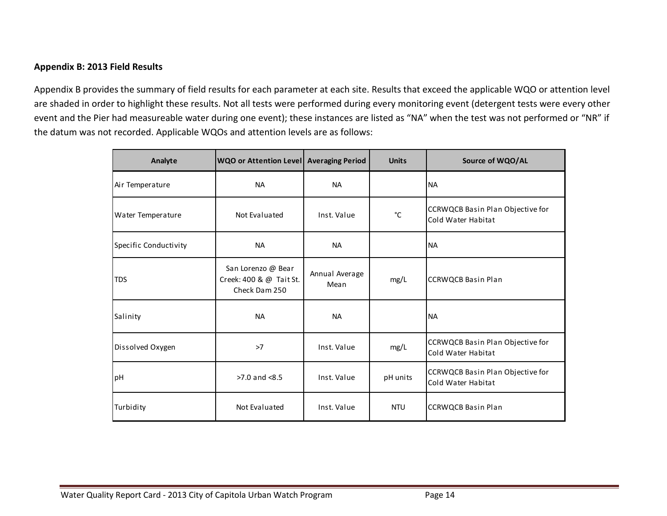#### **Appendix B: 2013 Field Results**

Appendix B provides the summary of field results for each parameter at each site. Results that exceed the applicable WQO or attention level are shaded in order to highlight these results. Not all tests were performed during every monitoring event (detergent tests were every other event and the Pier had measureable water during one event); these instances are listed as "NA" when the test was not performed or "NR" if the datum was not recorded. Applicable WQOs and attention levels are as follows:

| Analyte               | <b>WQO or Attention Level Averaging Period</b>                 |                        | <b>Units</b> | Source of WQO/AL                                       |
|-----------------------|----------------------------------------------------------------|------------------------|--------------|--------------------------------------------------------|
| Air Temperature       | <b>NA</b>                                                      | <b>NA</b>              |              | <b>NA</b>                                              |
| Water Temperature     | Not Evaluated                                                  | Inst. Value            | °C           | CCRWQCB Basin Plan Objective for<br>Cold Water Habitat |
| Specific Conductivity | <b>NA</b>                                                      | <b>NA</b>              |              | <b>NA</b>                                              |
| <b>TDS</b>            | San Lorenzo @ Bear<br>Creek: 400 & @ Tait St.<br>Check Dam 250 | Annual Average<br>Mean | mg/L         | <b>CCRWQCB Basin Plan</b>                              |
| Salinity              | <b>NA</b>                                                      | <b>NA</b>              |              | <b>NA</b>                                              |
| Dissolved Oxygen      | >7                                                             | Inst. Value            | mg/L         | CCRWQCB Basin Plan Objective for<br>Cold Water Habitat |
| рH                    | $>7.0$ and $< 8.5$                                             | Inst. Value            | pH units     | CCRWQCB Basin Plan Objective for<br>Cold Water Habitat |
| Turbidity             | Not Evaluated                                                  | Inst. Value            | <b>NTU</b>   | <b>CCRWQCB Basin Plan</b>                              |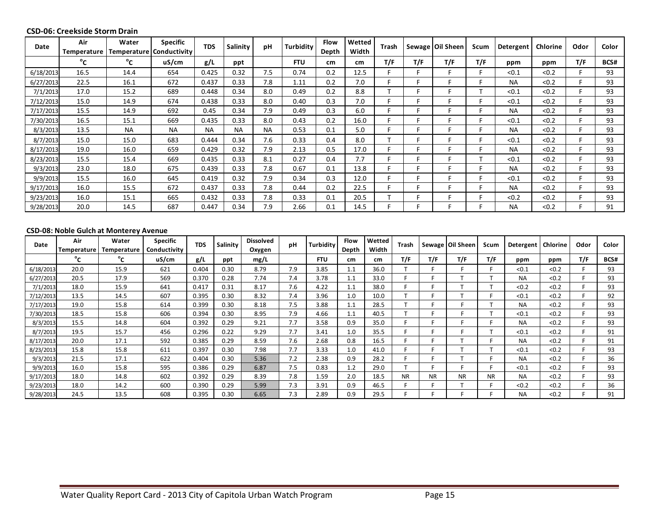#### **CSD-06: Creekside Storm Drain**

| Date      | Air<br>Temperature | Water<br>Temperature | <b>Specific</b><br>Conductivity | <b>TDS</b> | Salinity  | pH        | Turbiditv  | <b>Flow</b><br>Depth | Wetted<br>Width | Trash |     | Sewage   Oil Sheen | Scum | Detergent | Chlorine | Odor | Color |
|-----------|--------------------|----------------------|---------------------------------|------------|-----------|-----------|------------|----------------------|-----------------|-------|-----|--------------------|------|-----------|----------|------|-------|
|           | °c                 | °c                   | uS/cm                           | g/L        | ppt       |           | <b>FTU</b> | cm                   | cm <sub>2</sub> | T/F   | T/F | T/F                | T/F  | ppm       | ppm      | T/F  | BCS#  |
| 6/18/2013 | 16.5               | 14.4                 | 654                             | 0.425      | 0.32      | 7.5       | 0.74       | 0.2                  | 12.5            |       |     |                    |      | < 0.1     | < 0.2    |      | 93    |
| 6/27/2013 | 22.5               | 16.1                 | 672                             | 0.437      | 0.33      | 7.8       | 1.11       | 0.2                  | 7.0             |       |     |                    |      | <b>NA</b> | < 0.2    |      | 93    |
| 7/1/2013  | 17.0               | 15.2                 | 689                             | 0.448      | 0.34      | 8.0       | 0.49       | 0.2                  | 8.8             |       |     |                    |      | < 0.1     | < 0.2    |      | 93    |
| 7/12/2013 | 15.0               | 14.9                 | 674                             | 0.438      | 0.33      | 8.0       | 0.40       | 0.3                  | 7.0             |       |     |                    |      | < 0.1     | < 0.2    |      | 93    |
| 7/17/2013 | 15.5               | 14.9                 | 692                             | 0.45       | 0.34      | 7.9       | 0.49       | 0.3                  | 6.0             |       |     |                    |      | <b>NA</b> | < 0.2    |      | 93    |
| 7/30/2013 | 16.5               | 15.1                 | 669                             | 0.435      | 0.33      | 8.0       | 0.43       | 0.2                  | 16.0            |       |     |                    |      | < 0.1     | < 0.2    |      | 93    |
| 8/3/2013  | 13.5               | <b>NA</b>            | <b>NA</b>                       | <b>NA</b>  | <b>NA</b> | <b>NA</b> | 0.53       | 0.1                  | 5.0             |       |     |                    |      | <b>NA</b> | < 0.2    |      | 93    |
| 8/7/2013  | 15.0               | 15.0                 | 683                             | 0.444      | 0.34      | 7.6       | 0.33       | 0.4                  | 8.0             |       |     |                    |      | < 0.1     | < 0.2    |      | 93    |
| 8/17/2013 | 19.0               | 16.0                 | 659                             | 0.429      | 0.32      | 7.9       | 2.13       | 0.5                  | 17.0            |       |     |                    |      | <b>NA</b> | < 0.2    |      | 93    |
| 8/23/2013 | 15.5               | 15.4                 | 669                             | 0.435      | 0.33      | 8.1       | 0.27       | 0.4                  | 7.7             |       |     |                    |      | < 0.1     | < 0.2    |      | 93    |
| 9/3/2013  | 23.0               | 18.0                 | 675                             | 0.439      | 0.33      | 7.8       | 0.67       | 0.1                  | 13.8            |       |     |                    |      | <b>NA</b> | < 0.2    |      | 93    |
| 9/9/2013  | 15.5               | 16.0                 | 645                             | 0.419      | 0.32      | 7.9       | 0.34       | 0.3                  | 12.0            |       |     |                    |      | < 0.1     | < 0.2    |      | 93    |
| 9/17/2013 | 16.0               | 15.5                 | 672                             | 0.437      | 0.33      | 7.8       | 0.44       | 0.2                  | 22.5            |       |     |                    |      | <b>NA</b> | < 0.2    |      | 93    |
| 9/23/2013 | 16.0               | 15.1                 | 665                             | 0.432      | 0.33      | 7.8       | 0.33       | 0.1                  | 20.5            |       |     |                    |      | < 0.2     | < 0.2    |      | 93    |
| 9/28/2013 | 20.0               | 14.5                 | 687                             | 0.447      | 0.34      | 7.9       | 2.66       | 0.1                  | 14.5            |       |     |                    |      | <b>NA</b> | < 0.2    |      | 91    |

#### **CSD-08: Noble Gulch at Monterey Avenue**

| Date      | Air<br>Temperature | Water<br><b>Temperature</b> | <b>Specific</b><br>Conductivity | <b>TDS</b> | <b>Salinity</b> | <b>Dissolved</b><br>Oxygen | pH  | Turbidity  | Flow<br>Depth | Wetted<br>Width | Trash     |           | Sewage   Oil Sheen | Scum      | Detergent | Chlorine | Odor | Color |
|-----------|--------------------|-----------------------------|---------------------------------|------------|-----------------|----------------------------|-----|------------|---------------|-----------------|-----------|-----------|--------------------|-----------|-----------|----------|------|-------|
|           | °c                 | °⊂                          | uS/cm                           | g/L        | ppt             | mg/L                       |     | <b>FTU</b> | cm            | cm              | T/F       | T/F       | T/F                | T/F       | ppm       | ppm      | T/F  | BCS#  |
| 6/18/2013 | 20.0               | 15.9                        | 621                             | 0.404      | 0.30            | 8.79                       | 7.9 | 3.85       | 1.1           | 36.0            |           |           |                    |           | < 0.1     | < 0.2    |      | 93    |
| 6/27/2013 | 20.5               | 17.9                        | 569                             | 0.370      | 0.28            | 7.74                       | 7.4 | 3.78       | 1.1           | 33.0            |           |           |                    |           | <b>NA</b> | < 0.2    |      | 93    |
| 7/1/2013  | 18.0               | 15.9                        | 641                             | 0.417      | 0.31            | 8.17                       | 7.6 | 4.22       | 1.1           | 38.0            |           |           |                    |           | < 0.2     | < 0.2    |      | 93    |
| 7/12/2013 | 13.5               | 14.5                        | 607                             | 0.395      | 0.30            | 8.32                       | 7.4 | 3.96       | 1.0           | 10.0            |           |           |                    |           | < 0.1     | < 0.2    |      | 92    |
| 7/17/2013 | 19.0               | 15.8                        | 614                             | 0.399      | 0.30            | 8.18                       | 7.5 | 3.88       | 1.1           | 28.5            |           |           |                    |           | <b>NA</b> | < 0.2    |      | 93    |
| 7/30/2013 | 18.5               | 15.8                        | 606                             | 0.394      | 0.30            | 8.95                       | 7.9 | 4.66       | 1.1           | 40.5            |           |           |                    |           | < 0.1     | < 0.2    |      | 93    |
| 8/3/2013  | 15.5               | 14.8                        | 604                             | 0.392      | 0.29            | 9.21                       | 7.7 | 3.58       | 0.9           | 35.0            |           |           |                    |           | <b>NA</b> | < 0.2    |      | 93    |
| 8/7/2013  | 19.5               | 15.7                        | 456                             | 0.296      | 0.22            | 9.29                       | 7.7 | 3.41       | 1.0           | 35.5            |           |           |                    |           | < 0.1     | < 0.2    |      | 91    |
| 8/17/2013 | 20.0               | 17.1                        | 592                             | 0.385      | 0.29            | 8.59                       | 7.6 | 2.68       | 0.8           | 16.5            |           |           |                    |           | <b>NA</b> | < 0.2    |      | 91    |
| 8/23/2013 | 15.8               | 15.8                        | 611                             | 0.397      | 0.30            | 7.98                       | 7.7 | 3.33       | 1.0           | 41.0            |           |           |                    |           | < 0.1     | < 0.2    |      | 93    |
| 9/3/2013  | 21.5               | 17.1                        | 622                             | 0.404      | 0.30            | 5.36                       | 7.2 | 2.38       | 0.9           | 28.2            |           |           |                    |           | <b>NA</b> | < 0.2    |      | 36    |
| 9/9/2013  | 16.0               | 15.8                        | 595                             | 0.386      | 0.29            | 6.87                       | 7.5 | 0.83       | 1.2           | 29.0            |           |           |                    |           | < 0.1     | < 0.2    |      | 93    |
| 9/17/2013 | 18.0               | 14.8                        | 602                             | 0.392      | 0.29            | 8.39                       | 7.8 | 1.59       | 2.0           | 18.5            | <b>NR</b> | <b>NR</b> | <b>NR</b>          | <b>NR</b> | <b>NA</b> | < 0.2    |      | 93    |
| 9/23/2013 | 18.0               | 14.2                        | 600                             | 0.390      | 0.29            | 5.99                       | 7.3 | 3.91       | 0.9           | 46.5            |           |           | -                  | E         | < 0.2     | < 0.2    |      | 36    |
| 9/28/2013 | 24.5               | 13.5                        | 608                             | 0.395      | 0.30            | 6.65                       | 7.3 | 2.89       | 0.9           | 29.5            |           |           |                    |           | <b>NA</b> | < 0.2    |      | 91    |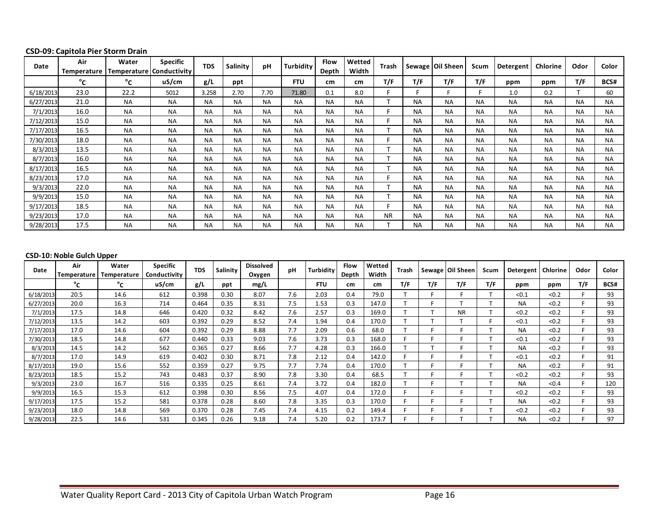| Date      | Air<br>Temperature | Water     | <b>Specific</b><br>Temperature   Conductivity | <b>TDS</b> | Salinity  | pH        | <b>Turbidity</b> | <b>Flow</b><br>Depth | Wetted<br>Width | Trash     |           | Sewage Oil Sheen | <b>Scum</b> | Detergent | Chlorine  | Odor      | Color     |
|-----------|--------------------|-----------|-----------------------------------------------|------------|-----------|-----------|------------------|----------------------|-----------------|-----------|-----------|------------------|-------------|-----------|-----------|-----------|-----------|
|           | °c                 | °c        | uS/cm                                         | g/L        | ppt       |           | <b>FTU</b>       | cm                   | cm              | T/F       | T/F       | T/F              | T/F         | ppm       | ppm       | T/F       | BCS#      |
| 6/18/2013 | 23.0               | 22.2      | 5012                                          | 3.258      | 2.70      | 7.70      | 71.80            | 0.1                  | 8.0             |           |           |                  |             | 1.0       | 0.2       |           | 60        |
| 6/27/2013 | 21.0               | <b>NA</b> | <b>NA</b>                                     | <b>NA</b>  | <b>NA</b> | <b>NA</b> | <b>NA</b>        | <b>NA</b>            | <b>NA</b>       |           | <b>NA</b> | <b>NA</b>        | <b>NA</b>   | <b>NA</b> | <b>NA</b> | <b>NA</b> | <b>NA</b> |
| 7/1/2013  | 16.0               | <b>NA</b> | <b>NA</b>                                     | <b>NA</b>  | <b>NA</b> | <b>NA</b> | <b>NA</b>        | <b>NA</b>            | <b>NA</b>       |           | <b>NA</b> | <b>NA</b>        | <b>NA</b>   | <b>NA</b> | <b>NA</b> | <b>NA</b> | <b>NA</b> |
| 7/12/2013 | 15.0               | <b>NA</b> | <b>NA</b>                                     | <b>NA</b>  | <b>NA</b> | <b>NA</b> | <b>NA</b>        | <b>NA</b>            | <b>NA</b>       |           | <b>NA</b> | <b>NA</b>        | <b>NA</b>   | <b>NA</b> | <b>NA</b> | <b>NA</b> | <b>NA</b> |
| 7/17/2013 | 16.5               | <b>NA</b> | <b>NA</b>                                     | <b>NA</b>  | <b>NA</b> | <b>NA</b> | <b>NA</b>        | <b>NA</b>            | <b>NA</b>       |           | <b>NA</b> | <b>NA</b>        | <b>NA</b>   | <b>NA</b> | <b>NA</b> | <b>NA</b> | <b>NA</b> |
| 7/30/2013 | 18.0               | <b>NA</b> | <b>NA</b>                                     | <b>NA</b>  | <b>NA</b> | <b>NA</b> | <b>NA</b>        | <b>NA</b>            | <b>NA</b>       |           | <b>NA</b> | <b>NA</b>        | <b>NA</b>   | <b>NA</b> | <b>NA</b> | <b>NA</b> | <b>NA</b> |
| 8/3/2013  | 13.5               | <b>NA</b> | <b>NA</b>                                     | <b>NA</b>  | <b>NA</b> | <b>NA</b> | <b>NA</b>        | <b>NA</b>            | <b>NA</b>       |           | <b>NA</b> | <b>NA</b>        | <b>NA</b>   | <b>NA</b> | <b>NA</b> | <b>NA</b> | <b>NA</b> |
| 8/7/2013  | 16.0               | <b>NA</b> | <b>NA</b>                                     | <b>NA</b>  | <b>NA</b> | <b>NA</b> | <b>NA</b>        | <b>NA</b>            | <b>NA</b>       |           | <b>NA</b> | <b>NA</b>        | <b>NA</b>   | <b>NA</b> | <b>NA</b> | <b>NA</b> | <b>NA</b> |
| 8/17/2013 | 16.5               | <b>NA</b> | <b>NA</b>                                     | <b>NA</b>  | <b>NA</b> | <b>NA</b> | <b>NA</b>        | <b>NA</b>            | <b>NA</b>       |           | <b>NA</b> | <b>NA</b>        | <b>NA</b>   | <b>NA</b> | <b>NA</b> | <b>NA</b> | <b>NA</b> |
| 8/23/2013 | 17.0               | <b>NA</b> | <b>NA</b>                                     | <b>NA</b>  | <b>NA</b> | <b>NA</b> | <b>NA</b>        | <b>NA</b>            | <b>NA</b>       |           | <b>NA</b> | <b>NA</b>        | <b>NA</b>   | <b>NA</b> | <b>NA</b> | <b>NA</b> | <b>NA</b> |
| 9/3/2013  | 22.0               | <b>NA</b> | <b>NA</b>                                     | <b>NA</b>  | <b>NA</b> | <b>NA</b> | <b>NA</b>        | <b>NA</b>            | <b>NA</b>       |           | <b>NA</b> | <b>NA</b>        | <b>NA</b>   | <b>NA</b> | <b>NA</b> | <b>NA</b> | <b>NA</b> |
| 9/9/2013  | 15.0               | <b>NA</b> | <b>NA</b>                                     | <b>NA</b>  | <b>NA</b> | <b>NA</b> | <b>NA</b>        | <b>NA</b>            | <b>NA</b>       |           | <b>NA</b> | <b>NA</b>        | <b>NA</b>   | <b>NA</b> | <b>NA</b> | <b>NA</b> | <b>NA</b> |
| 9/17/2013 | 18.5               | <b>NA</b> | <b>NA</b>                                     | <b>NA</b>  | <b>NA</b> | <b>NA</b> | <b>NA</b>        | <b>NA</b>            | <b>NA</b>       |           | <b>NA</b> | <b>NA</b>        | <b>NA</b>   | <b>NA</b> | <b>NA</b> | <b>NA</b> | <b>NA</b> |
| 9/23/2013 | 17.0               | <b>NA</b> | <b>NA</b>                                     | <b>NA</b>  | <b>NA</b> | <b>NA</b> | <b>NA</b>        | <b>NA</b>            | <b>NA</b>       | <b>NR</b> | <b>NA</b> | <b>NA</b>        | <b>NA</b>   | <b>NA</b> | <b>NA</b> | <b>NA</b> | <b>NA</b> |
| 9/28/2013 | 17.5               | <b>NA</b> | <b>NA</b>                                     | <b>NA</b>  | <b>NA</b> | <b>NA</b> | <b>NA</b>        | <b>NA</b>            | <b>NA</b>       |           | <b>NA</b> | <b>NA</b>        | <b>NA</b>   | <b>NA</b> | <b>NA</b> | <b>NA</b> | <b>NA</b> |

#### **CSD-09: Capitola Pier Storm Drain**

#### **CSD-10: Noble Gulch Upper**

| Date      | Air<br><b>Temperature</b> | Water<br>Temperature | <b>Specific</b><br>Conductivitv | <b>TDS</b> | Salinity | Dissolved<br>Oxygen | рH  | <b>Turbidity</b> | <b>Flow</b><br>Depth | Wetted<br>Width | Trash |     | Sewage   Oil Sheen | Scum | Detergent | <b>Chlorine</b> | Odor | Color |
|-----------|---------------------------|----------------------|---------------------------------|------------|----------|---------------------|-----|------------------|----------------------|-----------------|-------|-----|--------------------|------|-----------|-----------------|------|-------|
|           | $^{\circ}$ c              | °c                   | uS/cm                           | g/L        | ppt      | mg/L                |     | <b>FTU</b>       | cm                   | cm              | T/F   | T/F | T/F                | T/F  | ppm       | ppm             | T/F  | BCS#  |
| 6/18/2013 | 20.5                      | 14.6                 | 612                             | 0.398      | 0.30     | 8.07                | 7.6 | 2.03             | 0.4                  | 79.0            |       |     |                    |      | < 0.1     | < 0.2           |      | 93    |
| 6/27/2013 | 20.0                      | 16.3                 | 714                             | 0.464      | 0.35     | 8.31                | 7.5 | 1.53             | 0.3                  | 147.0           |       |     |                    |      | <b>NA</b> | < 0.2           |      | 93    |
| 7/1/2013  | 17.5                      | 14.8                 | 646                             | 0.420      | 0.32     | 8.42                | 7.6 | 2.57             | 0.3                  | 169.0           |       |     | <b>NR</b>          |      | < 0.2     | < 0.2           |      | 93    |
| 7/12/2013 | 13.5                      | 14.2                 | 603                             | 0.392      | 0.29     | 8.52                | 7.4 | 1.94             | 0.4                  | 170.0           |       |     |                    |      | < 0.1     | < 0.2           |      | 93    |
| 7/17/2013 | 17.0                      | 14.6                 | 604                             | 0.392      | 0.29     | 8.88                | 7.7 | 2.09             | 0.6                  | 68.0            |       |     |                    |      | <b>NA</b> | < 0.2           |      | 93    |
| 7/30/2013 | 18.5                      | 14.8                 | 677                             | 0.440      | 0.33     | 9.03                | 7.6 | 3.73             | 0.3                  | 168.0           |       |     |                    |      | < 0.1     | < 0.2           |      | 93    |
| 8/3/2013  | 14.5                      | 14.2                 | 562                             | 0.365      | 0.27     | 8.66                | 7.7 | 4.28             | 0.3                  | 166.0           |       |     |                    |      | <b>NA</b> | < 0.2           |      | 93    |
| 8/7/2013  | 17.0                      | 14.9                 | 619                             | 0.402      | 0.30     | 8.71                | 7.8 | 2.12             | 0.4                  | 142.0           |       |     |                    |      | < 0.1     | < 0.2           |      | 91    |
| 8/17/2013 | 19.0                      | 15.6                 | 552                             | 0.359      | 0.27     | 9.75                | 7.7 | 7.74             | 0.4                  | 170.0           |       |     |                    |      | <b>NA</b> | < 0.2           |      | 91    |
| 8/23/2013 | 18.5                      | 15.2                 | 743                             | 0.483      | 0.37     | 8.90                | 7.8 | 3.30             | 0.4                  | 68.5            |       |     |                    |      | < 0.2     | < 0.2           |      | 93    |
| 9/3/2013  | 23.0                      | 16.7                 | 516                             | 0.335      | 0.25     | 8.61                | 7.4 | 3.72             | 0.4                  | 182.0           |       |     |                    |      | <b>NA</b> | < 0.4           |      | 120   |
| 9/9/2013  | 16.5                      | 15.3                 | 612                             | 0.398      | 0.30     | 8.56                | 7.5 | 4.07             | 0.4                  | 172.0           |       |     |                    |      | < 0.2     | < 0.2           |      | 93    |
| 9/17/2013 | 17.5                      | 15.2                 | 581                             | 0.378      | 0.28     | 8.60                | 7.8 | 3.35             | 0.3                  | 170.0           |       |     |                    |      | <b>NA</b> | < 0.2           |      | 93    |
| 9/23/2013 | 18.0                      | 14.8                 | 569                             | 0.370      | 0.28     | 7.45                | 7.4 | 4.15             | 0.2                  | 149.4           |       |     |                    |      | < 0.2     | < 0.2           |      | 93    |
| 9/28/2013 | 22.5                      | 14.6                 | 531                             | 0.345      | 0.26     | 9.18                | 7.4 | 5.20             | 0.2                  | 173.7           |       |     |                    |      | <b>NA</b> | < 0.2           |      | 97    |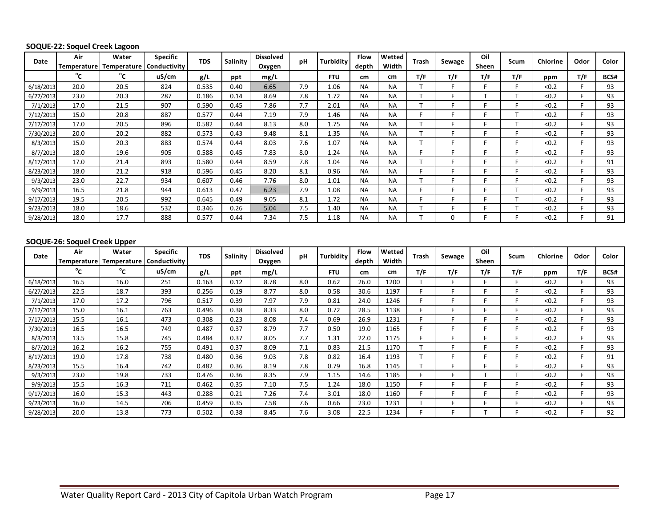#### **SOQUE-22: Soquel Creek Lagoon**

| Date      | Air<br>Temperature | Water<br>Temperature | <b>Specific</b><br>Conductivity | <b>TDS</b> | Salinity | <b>Dissolved</b><br>Oxygen | pH  | <b>Turbidity</b> | Flow<br>depth | Wetted<br>Width | Trash | Sewage | Oil<br>Sheen | Scum | Chlorine | Odor | Color |
|-----------|--------------------|----------------------|---------------------------------|------------|----------|----------------------------|-----|------------------|---------------|-----------------|-------|--------|--------------|------|----------|------|-------|
|           | $^{\circ}$ c       | $^{\circ}$ c         | uS/cm                           | g/L        | ppt      | mg/L                       |     | <b>FTU</b>       | cm            | cm              | T/F   | T/F    | T/F          | T/F  | ppm      | T/F  | BCS#  |
| 6/18/2013 | 20.0               | 20.5                 | 824                             | 0.535      | 0.40     | 6.65                       | 7.9 | 1.06             | <b>NA</b>     | NA              |       |        |              |      | < 0.2    |      | 93    |
| 6/27/2013 | 23.0               | 20.3                 | 287                             | 0.186      | 0.14     | 8.69                       | 7.8 | 1.72             | <b>NA</b>     | NA              |       |        |              |      | < 0.2    |      | 93    |
| 7/1/2013  | 17.0               | 21.5                 | 907                             | 0.590      | 0.45     | 7.86                       | 7.7 | 2.01             | <b>NA</b>     | <b>NA</b>       |       |        |              |      | < 0.2    |      | 93    |
| 7/12/2013 | 15.0               | 20.8                 | 887                             | 0.577      | 0.44     | 7.19                       | 7.9 | 1.46             | <b>NA</b>     | <b>NA</b>       |       |        |              |      | < 0.2    |      | 93    |
| 7/17/2013 | 17.0               | 20.5                 | 896                             | 0.582      | 0.44     | 8.13                       | 8.0 | 1.75             | <b>NA</b>     | <b>NA</b>       |       |        |              |      | < 0.2    |      | 93    |
| 7/30/2013 | 20.0               | 20.2                 | 882                             | 0.573      | 0.43     | 9.48                       | 8.1 | 1.35             | <b>NA</b>     | <b>NA</b>       |       |        |              |      | < 0.2    |      | 93    |
| 8/3/2013  | 15.0               | 20.3                 | 883                             | 0.574      | 0.44     | 8.03                       | 7.6 | 1.07             | <b>NA</b>     | <b>NA</b>       |       |        |              |      | < 0.2    |      | 93    |
| 8/7/2013  | 18.0               | 19.6                 | 905                             | 0.588      | 0.45     | 7.83                       | 8.0 | 1.24             | <b>NA</b>     | <b>NA</b>       |       |        |              |      | < 0.2    |      | 93    |
| 8/17/2013 | 17.0               | 21.4                 | 893                             | 0.580      | 0.44     | 8.59                       | 7.8 | 1.04             | <b>NA</b>     | <b>NA</b>       |       |        |              |      | < 0.2    |      | 91    |
| 8/23/2013 | 18.0               | 21.2                 | 918                             | 0.596      | 0.45     | 8.20                       | 8.1 | 0.96             | <b>NA</b>     | <b>NA</b>       |       |        |              |      | < 0.2    |      | 93    |
| 9/3/2013  | 23.0               | 22.7                 | 934                             | 0.607      | 0.46     | 7.76                       | 8.0 | 1.01             | <b>NA</b>     | <b>NA</b>       |       |        |              |      | < 0.2    |      | 93    |
| 9/9/2013  | 16.5               | 21.8                 | 944                             | 0.613      | 0.47     | 6.23                       | 7.9 | 1.08             | <b>NA</b>     | <b>NA</b>       |       |        |              |      | < 0.2    |      | 93    |
| 9/17/2013 | 19.5               | 20.5                 | 992                             | 0.645      | 0.49     | 9.05                       | 8.1 | 1.72             | <b>NA</b>     | <b>NA</b>       |       |        |              |      | < 0.2    |      | 93    |
| 9/23/2013 | 18.0               | 18.6                 | 532                             | 0.346      | 0.26     | 5.04                       | 7.5 | 1.40             | <b>NA</b>     | <b>NA</b>       |       |        |              |      | < 0.2    |      | 93    |
| 9/28/2013 | 18.0               | 17.7                 | 888                             | 0.577      | 0.44     | 7.34                       | 7.5 | 1.18             | <b>NA</b>     | <b>NA</b>       |       |        |              |      | < 0.2    |      | 91    |

#### **SOQUE-26: Soquel Creek Upper**

| Date      | Air<br><b>Temperature</b> | Water<br>  Temperature | <b>Specific</b><br>Conductivity | <b>TDS</b> | <b>Salinity</b> | <b>Dissolved</b><br>Oxygen | pH  | <b>Turbidity</b> | Flow<br>depth | Wetted<br>Width | Trash | Sewage | Oil<br>Sheen | Scum | Chlorine | Odor | Color |
|-----------|---------------------------|------------------------|---------------------------------|------------|-----------------|----------------------------|-----|------------------|---------------|-----------------|-------|--------|--------------|------|----------|------|-------|
|           | $^{\circ}$ C              | °c                     | uS/cm                           | g/L        | ppt             | mg/L                       |     | <b>FTU</b>       | cm            | cm              | T/F   | T/F    | T/F          | T/F  | ppm      | T/F  | BCS#  |
| 6/18/2013 | 16.5                      | 16.0                   | 251                             | 0.163      | 0.12            | 8.78                       | 8.0 | 0.62             | 26.0          | 1200            |       | Е      |              |      | < 0.2    |      | 93    |
| 6/27/2013 | 22.5                      | 18.7                   | 393                             | 0.256      | 0.19            | 8.77                       | 8.0 | 0.58             | 30.6          | 1197            |       |        |              |      | < 0.2    |      | 93    |
| 7/1/2013  | 17.0                      | 17.2                   | 796                             | 0.517      | 0.39            | 7.97                       | 7.9 | 0.81             | 24.0          | 1246            |       |        |              |      | < 0.2    |      | 93    |
| 7/12/2013 | 15.0                      | 16.1                   | 763                             | 0.496      | 0.38            | 8.33                       | 8.0 | 0.72             | 28.5          | 1138            |       |        |              |      | < 0.2    |      | 93    |
| 7/17/2013 | 15.5                      | 16.1                   | 473                             | 0.308      | 0.23            | 8.08                       | 7.4 | 0.69             | 26.9          | 1231            |       |        |              |      | < 0.2    |      | 93    |
| 7/30/2013 | 16.5                      | 16.5                   | 749                             | 0.487      | 0.37            | 8.79                       | 7.7 | 0.50             | 19.0          | 1165            |       |        |              |      | < 0.2    |      | 93    |
| 8/3/2013  | 13.5                      | 15.8                   | 745                             | 0.484      | 0.37            | 8.05                       | 7.7 | 1.31             | 22.0          | 1175            |       | E      |              |      | < 0.2    |      | 93    |
| 8/7/2013  | 16.2                      | 16.2                   | 755                             | 0.491      | 0.37            | 8.09                       | 7.1 | 0.83             | 21.5          | 1170            |       |        |              |      | < 0.2    |      | 93    |
| 8/17/2013 | 19.0                      | 17.8                   | 738                             | 0.480      | 0.36            | 9.03                       | 7.8 | 0.82             | 16.4          | 1193            |       |        |              |      | < 0.2    |      | 91    |
| 8/23/2013 | 15.5                      | 16.4                   | 742                             | 0.482      | 0.36            | 8.19                       | 7.8 | 0.79             | 16.8          | 1145            |       |        |              |      | < 0.2    |      | 93    |
| 9/3/2013  | 23.0                      | 19.8                   | 733                             | 0.476      | 0.36            | 8.35                       | 7.9 | 1.15             | 14.6          | 1185            |       | E      |              |      | < 0.2    |      | 93    |
| 9/9/2013  | 15.5                      | 16.3                   | 711                             | 0.462      | 0.35            | 7.10                       | 7.5 | 1.24             | 18.0          | 1150            |       | E      |              |      | < 0.2    |      | 93    |
| 9/17/2013 | 16.0                      | 15.3                   | 443                             | 0.288      | 0.21            | 7.26                       | 7.4 | 3.01             | 18.0          | 1160            |       | E      |              |      | < 0.2    |      | 93    |
| 9/23/2013 | 16.0                      | 14.5                   | 706                             | 0.459      | 0.35            | 7.58                       | 7.6 | 0.66             | 23.0          | 1231            |       | E      |              |      | < 0.2    |      | 93    |
| 9/28/2013 | 20.0                      | 13.8                   | 773                             | 0.502      | 0.38            | 8.45                       | 7.6 | 3.08             | 22.5          | 1234            |       | F      |              |      | < 0.2    |      | 92    |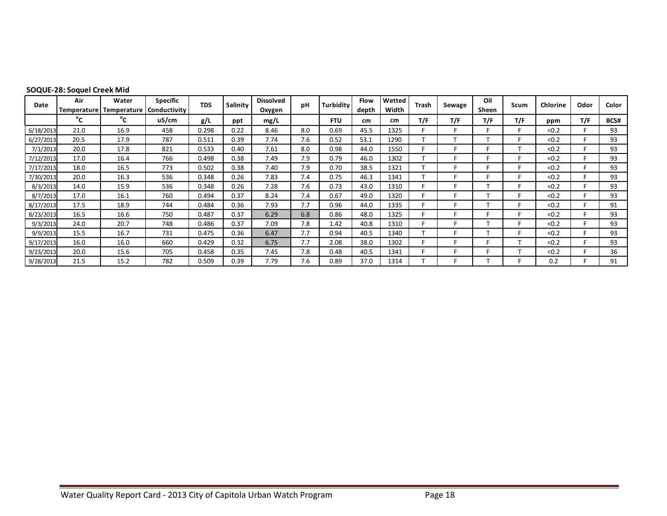| Date      | Air<br>Temperature | Water<br>  Temperature | <b>Specific</b><br>Conductivity | <b>TDS</b> | Salinity | <b>Dissolved</b><br>Oxygen | pH  | <b>Turbidity</b> | Flow<br>depth | Wetted<br>Width | Trash | Sewage | Oil<br>Sheen | Scum | Chlorine | Odor | Color |
|-----------|--------------------|------------------------|---------------------------------|------------|----------|----------------------------|-----|------------------|---------------|-----------------|-------|--------|--------------|------|----------|------|-------|
|           | °c                 | °c                     | uS/cm                           | g/L        | ppt      | mg/L                       |     | <b>FTU</b>       | cm            | cm              | T/F   | T/F    | T/F          | T/F  | ppm      | T/F  | BCS#  |
| 6/18/2013 | 21.0               | 16.9                   | 458                             | 0.298      | 0.22     | 8.46                       | 8.0 | 0.69             | 45.5          | 1325            |       |        |              |      | < 0.2    |      | 93    |
| 6/27/2013 | 20.5               | 17.9                   | 787                             | 0.511      | 0.39     | 7.74                       | 7.6 | 0.52             | 53.1          | 1290            |       |        |              |      | < 0.2    |      | 93    |
| 7/1/2013  | 20.0               | 17.8                   | 821                             | 0.533      | 0.40     | 7.61                       | 8.0 | 0.98             | 44.0          | 1550            |       |        |              |      | < 0.2    |      | 93    |
| 7/12/2013 | 17.0               | 16.4                   | 766                             | 0.498      | 0.38     | 7.49                       | 7.9 | 0.79             | 46.0          | 1302            |       |        |              |      | < 0.2    |      | 93    |
| 7/17/2013 | 18.0               | 16.5                   | 773                             | 0.502      | 0.38     | 7.40                       | 7.9 | 0.70             | 38.5          | 1321            |       |        |              |      | < 0.2    |      | 93    |
| 7/30/2013 | 20.0               | 16.3                   | 536                             | 0.348      | 0.26     | 7.83                       | 7.4 | 0.75             | 46.3          | 1341            |       |        |              |      | < 0.2    |      | 93    |
| 8/3/2013  | 14.0               | 15.9                   | 536                             | 0.348      | 0.26     | 7.28                       | 7.6 | 0.73             | 43.0          | 1310            |       |        |              |      | < 0.2    |      | 93    |
| 8/7/2013  | 17.0               | 16.1                   | 760                             | 0.494      | 0.37     | 8.24                       | 7.4 | 0.67             | 49.0          | 1320            |       |        |              | E    | < 0.2    |      | 93    |
| 8/17/2013 | 17.5               | 18.9                   | 744                             | 0.484      | 0.36     | 7.93                       | 7.7 | 0.96             | 44.0          | 1335            |       |        |              | E    | < 0.2    |      | 91    |
| 8/23/2013 | 16.5               | 16.6                   | 750                             | 0.487      | 0.37     | 6.29                       | 6.8 | 0.86             | 48.0          | 1325            |       |        |              |      | < 0.2    |      | 93    |
| 9/3/2013  | 24.0               | 20.7                   | 748                             | 0.486      | 0.37     | 7.09                       | 7.8 | 1.42             | 40.8          | 1310            |       |        |              |      | < 0.2    |      | 93    |
| 9/9/2013  | 15.5               | 16.7                   | 731                             | 0.475      | 0.36     | 6.47                       | 7.7 | 0.94             | 40.5          | 1340            |       |        |              |      | < 0.2    |      | 93    |
| 9/17/2013 | 16.0               | 16.0                   | 660                             | 0.429      | 0.32     | 6.75                       | 7.7 | 2.08             | 38.0          | 1302            |       |        |              |      | < 0.2    |      | 93    |
| 9/23/2013 | 20.0               | 15.6                   | 705                             | 0.458      | 0.35     | 7.45                       | 7.8 | 0.48             | 40.5          | 1341            |       |        |              |      | < 0.2    |      | 36    |
| 9/28/2013 | 21.5               | 15.2                   | 782                             | 0.509      | 0.39     | 7.79                       | 7.6 | 0.89             | 37.0          | 1314            |       |        |              |      | 0.2      |      | 91    |

#### **SOQUE-28: Soquel Creek Mid**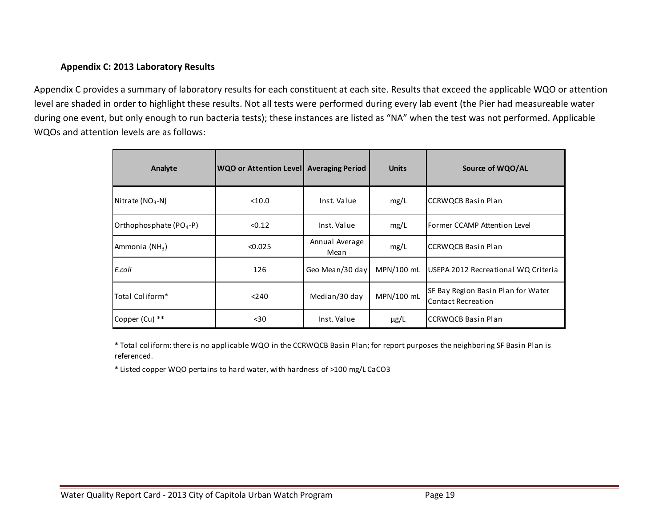#### **Appendix C: 2013 Laboratory Results**

Appendix C provides a summary of laboratory results for each constituent at each site. Results that exceed the applicable WQO or attention level are shaded in order to highlight these results. Not all tests were performed during every lab event (the Pier had measureable water during one event, but only enough to run bacteria tests); these instances are listed as "NA" when the test was not performed. Applicable WQOs and attention levels are as follows:

| Analyte                             | WQO or Attention Level   Averaging Period |                        | <b>Units</b> | Source of WQO/AL                                                |
|-------------------------------------|-------------------------------------------|------------------------|--------------|-----------------------------------------------------------------|
| Nitrate ( $NO3$ -N)                 | < 10.0                                    | Inst. Value            | mg/L         | <b>CCRWQCB Basin Plan</b>                                       |
| Orthophosphate (PO <sub>4</sub> -P) | < 0.12                                    | Inst. Value            | mg/L         | l Former CCAMP Attention Level                                  |
| Ammonia (NH <sub>3</sub> )          | < 0.025                                   | Annual Average<br>Mean | mg/L         | <b>CCRWOCB Basin Plan</b>                                       |
| E.coli                              | 126                                       | Geo Mean/30 day        | MPN/100 mL   | USEPA 2012 Recreational WQ Criteria                             |
| Total Coliform*                     | < 240                                     | Median/30 day          | MPN/100 mL   | SF Bay Region Basin Plan for Water<br><b>Contact Recreation</b> |
| Copper (Cu) **                      | $30$                                      | Inst. Value            | $\mu$ g/L    | <b>CCRWQCB Basin Plan</b>                                       |

\* Total coliform: there is no applicable WQO in the CCRWQCB Basin Plan; for report purposes the neighboring SF Basin Plan is referenced.

\* Listed copper WQO pertains to hard water, with hardness of >100 mg/L CaCO3